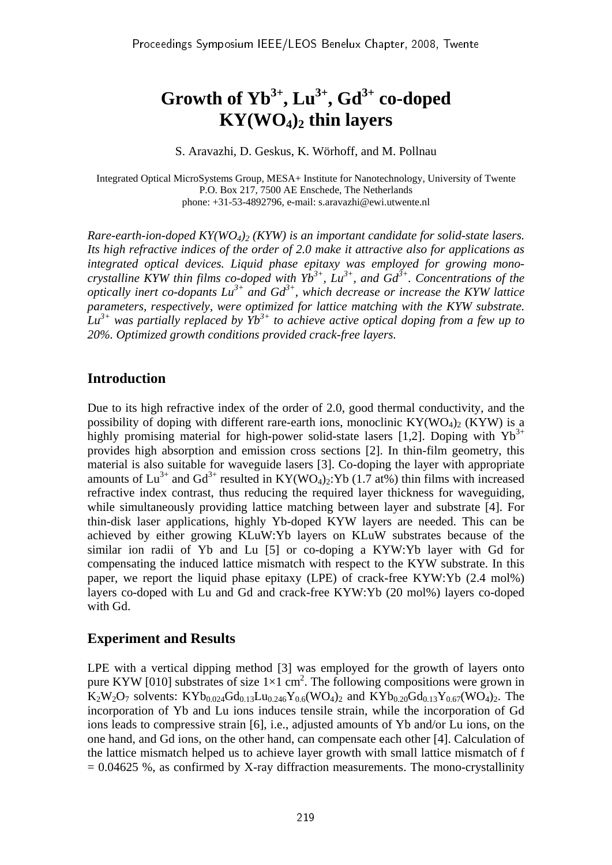# Growth of  $Yb^{3+}$ ,  $Lu^{3+}$ ,  $Gd^{3+}$  co-doped **KY(WO4)2 thin layers**

S. Aravazhi, D. Geskus, K. Wörhoff, and M. Pollnau

Integrated Optical MicroSystems Group, MESA+ Institute for Nanotechnology, University of Twente P.O. Box 217, 7500 AE Enschede, The Netherlands phone: +31-53-4892796, e-mail: s.aravazhi@ewi.utwente.nl

*Rare-earth-ion-doped KY(WO<sub>4</sub>)<sub>2</sub> (KYW) is an important candidate for solid-state lasers. Its high refractive indices of the order of 2.0 make it attractive also for applications as integrated optical devices. Liquid phase epitaxy was employed for growing monocrystalline KYW thin films co-doped with*  $Yb^{3+}$ *, Lu<sup>3+</sup>, and*  $Gd^{3+}$ *. Concentrations of the optically inert co-dopants*  $Lu^{3+}$  *and*  $Gd^{3+}$ *, which decrease or increase the KYW lattice parameters, respectively, were optimized for lattice matching with the KYW substrate.*   $\hat{L}u^{3+}$  was partially replaced by  $\hat{Y}b^{3+}$  to achieve active optical doping from a few up to *20%. Optimized growth conditions provided crack-free layers.*

## **Introduction**

Due to its high refractive index of the order of 2.0, good thermal conductivity, and the possibility of doping with different rare-earth ions, monoclinic  $KY(WO_4)$  (KYW) is a highly promising material for high-power solid-state lasers [1,2]. Doping with  $Yb^{3+}$ provides high absorption and emission cross sections [2]. In thin-film geometry, this material is also suitable for waveguide lasers [3]. Co-doping the layer with appropriate amounts of  $Lu^{3+}$  and  $Gd^{3+}$  resulted in KY(WO<sub>4</sub>)<sub>2</sub>:Yb (1.7 at%) thin films with increased refractive index contrast, thus reducing the required layer thickness for waveguiding, while simultaneously providing lattice matching between layer and substrate [4]. For thin-disk laser applications, highly Yb-doped KYW layers are needed. This can be achieved by either growing KLuW:Yb layers on KLuW substrates because of the similar ion radii of Yb and Lu [5] or co-doping a KYW:Yb layer with Gd for compensating the induced lattice mismatch with respect to the KYW substrate. In this paper, we report the liquid phase epitaxy (LPE) of crack-free KYW:Yb (2.4 mol%) layers co-doped with Lu and Gd and crack-free KYW:Yb (20 mol%) layers co-doped with Gd.

#### **Experiment and Results**

LPE with a vertical dipping method [3] was employed for the growth of layers onto pure KYW [010] substrates of size  $1\times1$  cm<sup>2</sup>. The following compositions were grown in  $K_2W_2O_7$  solvents:  $KYb_{0.024}Gd_{0.13}Lu_{0.246}Y_{0.6}(WO_4)_2$  and  $KYb_{0.20}Gd_{0.13}Y_{0.67}(WO_4)_2$ . The incorporation of Yb and Lu ions induces tensile strain, while the incorporation of Gd ions leads to compressive strain [6], i.e., adjusted amounts of Yb and/or Lu ions, on the one hand, and Gd ions, on the other hand, can compensate each other [4]. Calculation of the lattice mismatch helped us to achieve layer growth with small lattice mismatch of f  $= 0.04625$  %, as confirmed by X-ray diffraction measurements. The mono-crystallinity